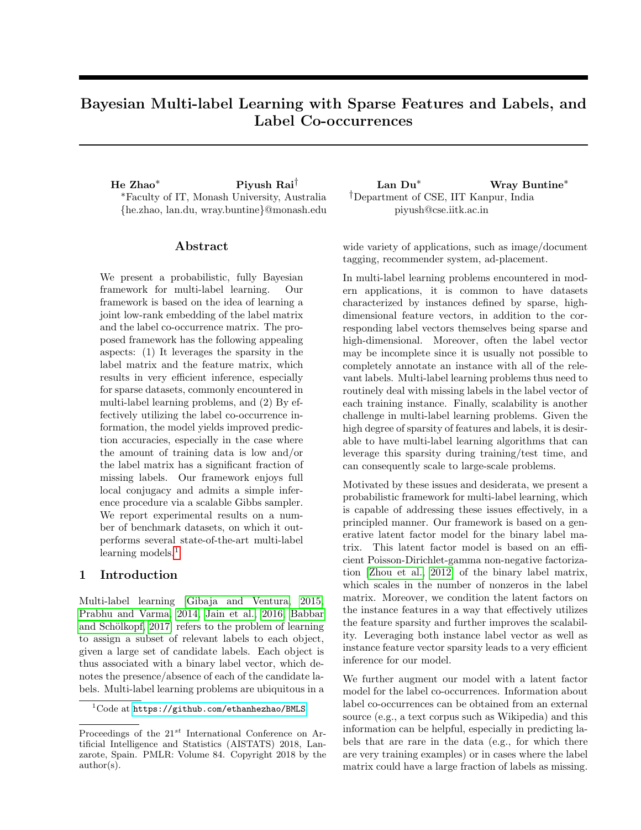# Bayesian Multi-label Learning with Sparse Features and Labels, and Label Co-occurrences

He Zhao<sup>∗</sup> Piyush Rai† Lan Du<sup>∗</sup> Wray Buntine<sup>∗</sup> <sup>∗</sup>Faculty of IT, Monash University, Australia {he.zhao, lan.du, wray.buntine}@monash.edu

# Abstract

We present a probabilistic, fully Bayesian framework for multi-label learning. Our framework is based on the idea of learning a joint low-rank embedding of the label matrix and the label co-occurrence matrix. The proposed framework has the following appealing aspects: (1) It leverages the sparsity in the label matrix and the feature matrix, which results in very efficient inference, especially for sparse datasets, commonly encountered in multi-label learning problems, and (2) By effectively utilizing the label co-occurrence information, the model yields improved prediction accuracies, especially in the case where the amount of training data is low and/or the label matrix has a significant fraction of missing labels. Our framework enjoys full local conjugacy and admits a simple inference procedure via a scalable Gibbs sampler. We report experimental results on a number of benchmark datasets, on which it outperforms several state-of-the-art multi-label learning models.<sup>[1](#page-0-0)</sup>

## 1 Introduction

Multi-label learning [\[Gibaja and Ventura, 2015,](#page-8-0) [Prabhu and Varma, 2014,](#page-8-1) [Jain et al., 2016,](#page-8-2) [Babbar](#page-8-3) and Schölkopf, 2017] refers to the problem of learning to assign a subset of relevant labels to each object, given a large set of candidate labels. Each object is thus associated with a binary label vector, which denotes the presence/absence of each of the candidate labels. Multi-label learning problems are ubiquitous in a †Department of CSE, IIT Kanpur, India piyush@cse.iitk.ac.in

wide variety of applications, such as image/document tagging, recommender system, ad-placement.

In multi-label learning problems encountered in modern applications, it is common to have datasets characterized by instances defined by sparse, highdimensional feature vectors, in addition to the corresponding label vectors themselves being sparse and high-dimensional. Moreover, often the label vector may be incomplete since it is usually not possible to completely annotate an instance with all of the relevant labels. Multi-label learning problems thus need to routinely deal with missing labels in the label vector of each training instance. Finally, scalability is another challenge in multi-label learning problems. Given the high degree of sparsity of features and labels, it is desirable to have multi-label learning algorithms that can leverage this sparsity during training/test time, and can consequently scale to large-scale problems.

Motivated by these issues and desiderata, we present a probabilistic framework for multi-label learning, which is capable of addressing these issues effectively, in a principled manner. Our framework is based on a generative latent factor model for the binary label matrix. This latent factor model is based on an efficient Poisson-Dirichlet-gamma non-negative factorization [\[Zhou et al., 2012\]](#page-8-4) of the binary label matrix, which scales in the number of nonzeros in the label matrix. Moreover, we condition the latent factors on the instance features in a way that effectively utilizes the feature sparsity and further improves the scalability. Leveraging both instance label vector as well as instance feature vector sparsity leads to a very efficient inference for our model.

We further augment our model with a latent factor model for the label co-occurrences. Information about label co-occurrences can be obtained from an external source (e.g., a text corpus such as Wikipedia) and this information can be helpful, especially in predicting labels that are rare in the data (e.g., for which there are very training examples) or in cases where the label matrix could have a large fraction of labels as missing.

<span id="page-0-0"></span> $1$ Code at <https://github.com/ethanhezhao/BMLS>

Proceedings of the  $21^{st}$  International Conference on Artificial Intelligence and Statistics (AISTATS) 2018, Lanzarote, Spain. PMLR: Volume 84. Copyright 2018 by the author(s).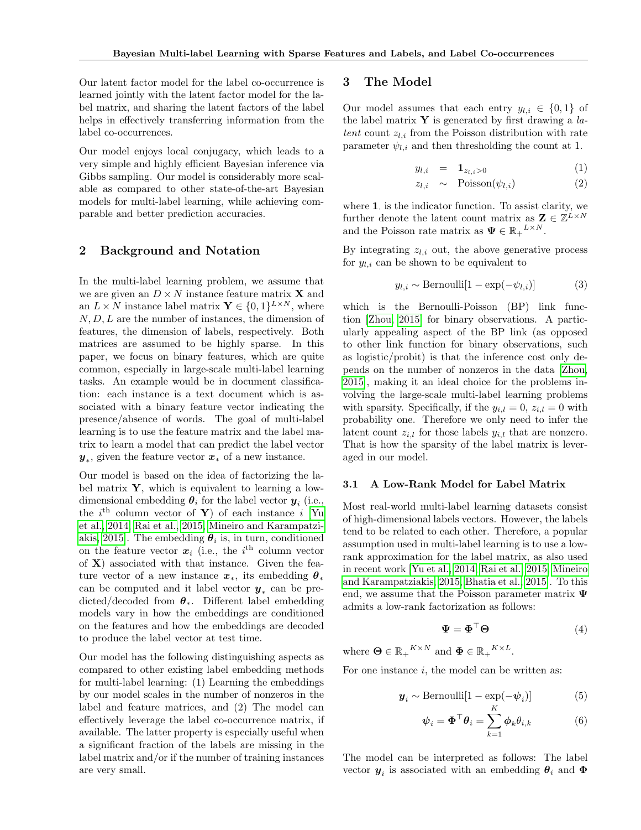Our latent factor model for the label co-occurrence is learned jointly with the latent factor model for the label matrix, and sharing the latent factors of the label helps in effectively transferring information from the label co-occurrences.

Our model enjoys local conjugacy, which leads to a very simple and highly efficient Bayesian inference via Gibbs sampling. Our model is considerably more scalable as compared to other state-of-the-art Bayesian models for multi-label learning, while achieving comparable and better prediction accuracies.

# 2 Background and Notation

In the multi-label learning problem, we assume that we are given an  $D \times N$  instance feature matrix **X** and an  $L \times N$  instance label matrix  $\mathbf{Y} \in \{0, 1\}^{L \times N}$ , where  $N, D, L$  are the number of instances, the dimension of features, the dimension of labels, respectively. Both matrices are assumed to be highly sparse. In this paper, we focus on binary features, which are quite common, especially in large-scale multi-label learning tasks. An example would be in document classification: each instance is a text document which is associated with a binary feature vector indicating the presence/absence of words. The goal of multi-label learning is to use the feature matrix and the label matrix to learn a model that can predict the label vector  $y_*,$  given the feature vector  $x_*$  of a new instance.

Our model is based on the idea of factorizing the label matrix  $\mathbf{Y}$ , which is equivalent to learning a lowdimensional embedding  $\boldsymbol{\theta}_i$  for the label vector  $\boldsymbol{y}_i$  (i.e., the  $i^{\text{th}}$  column vector of Y) of each instance i [\[Yu](#page-8-5) [et al., 2014,](#page-8-5) [Rai et al., 2015,](#page-8-6) [Mineiro and Karampatzi](#page-8-7)[akis, 2015\]](#page-8-7). The embedding  $\theta_i$  is, in turn, conditioned on the feature vector  $x_i$  (i.e., the i<sup>th</sup> column vector of  $X$ ) associated with that instance. Given the feature vector of a new instance  $x_*$ , its embedding  $\theta_*$ can be computed and it label vector  $y_*$  can be predicted/decoded from  $\theta_*$ . Different label embedding models vary in how the embeddings are conditioned on the features and how the embeddings are decoded to produce the label vector at test time.

Our model has the following distinguishing aspects as compared to other existing label embedding methods for multi-label learning: (1) Learning the embeddings by our model scales in the number of nonzeros in the label and feature matrices, and (2) The model can effectively leverage the label co-occurrence matrix, if available. The latter property is especially useful when a significant fraction of the labels are missing in the label matrix and/or if the number of training instances are very small.

# 3 The Model

Our model assumes that each entry  $y_{l,i} \in \{0,1\}$  of the label matrix  $\mathbf{Y}$  is generated by first drawing a *la*tent count  $z_{l,i}$  from the Poisson distribution with rate parameter  $\psi_{l,i}$  and then thresholding the count at 1.

<span id="page-1-1"></span>
$$
y_{l,i} = \mathbf{1}_{z_{l,i} > 0} \tag{1}
$$

$$
z_{l,i} \sim \text{Poisson}(\psi_{l,i}) \tag{2}
$$

where 1. is the indicator function. To assist clarity, we further denote the latent count matrix as  $\mathbf{Z} \in \mathbb{Z}^{\tilde{L} \times N}$ and the Poisson rate matrix as  $\Psi \in \mathbb{R}_+^{L \times N}$ .

By integrating  $z_{l,i}$  out, the above generative process for  $y_{l,i}$  can be shown to be equivalent to

$$
y_{l,i} \sim \text{Bernoulli}[1 - \exp(-\psi_{l,i})] \tag{3}
$$

which is the Bernoulli-Poisson (BP) link function [\[Zhou, 2015\]](#page-8-8) for binary observations. A particularly appealing aspect of the BP link (as opposed to other link function for binary observations, such as logistic/probit) is that the inference cost only depends on the number of nonzeros in the data [\[Zhou,](#page-8-8) [2015\]](#page-8-8), making it an ideal choice for the problems involving the large-scale multi-label learning problems with sparsity. Specifically, if the  $y_{i,l} = 0$ ,  $z_{i,l} = 0$  with probability one. Therefore we only need to infer the latent count  $z_{i,l}$  for those labels  $y_{i,l}$  that are nonzero. That is how the sparsity of the label matrix is leveraged in our model.

#### <span id="page-1-0"></span>3.1 A Low-Rank Model for Label Matrix

Most real-world multi-label learning datasets consist of high-dimensional labels vectors. However, the labels tend to be related to each other. Therefore, a popular assumption used in multi-label learning is to use a lowrank approximation for the label matrix, as also used in recent work [\[Yu et al., 2014,](#page-8-5) [Rai et al., 2015,](#page-8-6) [Mineiro](#page-8-7) [and Karampatziakis, 2015,](#page-8-7) [Bhatia et al., 2015\]](#page-8-9). To this end, we assume that the Poisson parameter matrix  $\Psi$ admits a low-rank factorization as follows:

$$
\mathbf{\Psi} = \mathbf{\Phi}^\top \mathbf{\Theta} \tag{4}
$$

where  $\mathbf{\Theta} \in \mathbb{R}_{+}^{K \times N}$  and  $\mathbf{\Phi} \in \mathbb{R}_{+}^{K \times L}$ .

For one instance  $i$ , the model can be written as:

$$
\mathbf{y}_i \sim \text{Bernoulli}[1 - \exp(-\psi_i)] \tag{5}
$$

$$
\boldsymbol{\psi}_i = \boldsymbol{\Phi}^\top \boldsymbol{\theta}_i = \sum_{k=1}^{\mathbf{n}} \boldsymbol{\phi}_k \theta_{i,k} \tag{6}
$$

The model can be interpreted as follows: The label vector  $y_i$  is associated with an embedding  $\theta_i$  and  $\Phi$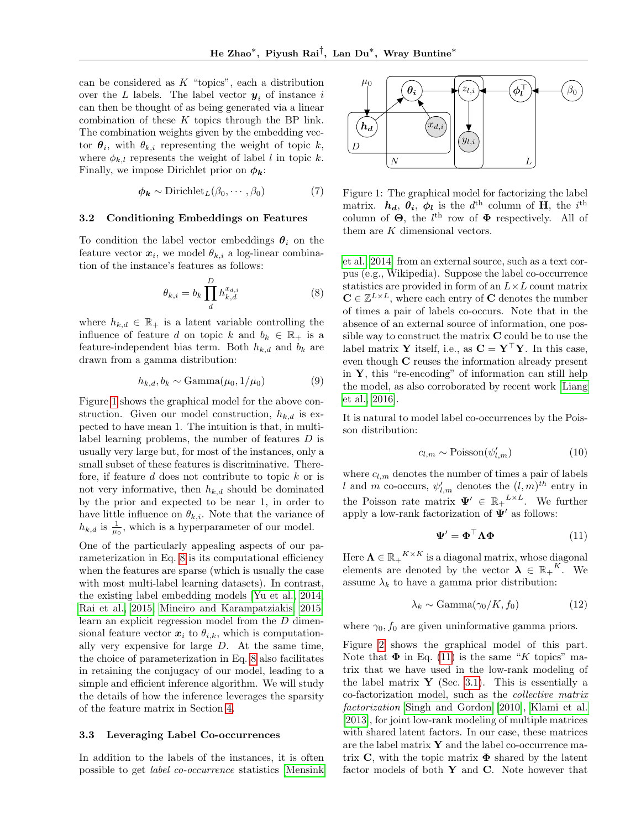can be considered as  $K$  "topics", each a distribution over the L labels. The label vector  $y_i$  of instance i can then be thought of as being generated via a linear combination of these  $K$  topics through the BP link. The combination weights given by the embedding vector  $\theta_i$ , with  $\theta_{k,i}$  representing the weight of topic k, where  $\phi_{k,l}$  represents the weight of label l in topic k. Finally, we impose Dirichlet prior on  $\phi_k$ :

$$
\phi_{\mathbf{k}} \sim \text{Dirichlet}_L(\beta_0, \cdots, \beta_0) \tag{7}
$$

#### 3.2 Conditioning Embeddings on Features

To condition the label vector embeddings  $\theta_i$  on the feature vector  $x_i$ , we model  $\theta_{k,i}$  a log-linear combination of the instance's features as follows:

$$
\theta_{k,i} = b_k \prod_{d}^{D} h_{k,d}^{x_{d,i}} \tag{8}
$$

where  $h_{k,d} \in \mathbb{R}_+$  is a latent variable controlling the influence of feature d on topic k and  $b_k \in \mathbb{R}_+$  is a feature-independent bias term. Both  $h_{k,d}$  and  $b_k$  are drawn from a gamma distribution:

$$
h_{k,d}, b_k \sim \text{Gamma}(\mu_0, 1/\mu_0) \tag{9}
$$

Figure [1](#page-2-0) shows the graphical model for the above construction. Given our model construction,  $h_{k,d}$  is expected to have mean 1. The intuition is that, in multilabel learning problems, the number of features D is usually very large but, for most of the instances, only a small subset of these features is discriminative. Therefore, if feature  $d$  does not contribute to topic  $k$  or is not very informative, then  $h_{k,d}$  should be dominated by the prior and expected to be near 1, in order to have little influence on  $\theta_{k,i}$ . Note that the variance of  $h_{k,d}$  is  $\frac{1}{\mu_0}$ , which is a hyperparameter of our model.

One of the particularly appealing aspects of our parameterization in Eq. [8](#page-2-1) is its computational efficiency when the features are sparse (which is usually the case with most multi-label learning datasets). In contrast, the existing label embedding models [\[Yu et al., 2014,](#page-8-5) [Rai et al., 2015,](#page-8-6) [Mineiro and Karampatziakis, 2015\]](#page-8-7) learn an explicit regression model from the D dimensional feature vector  $x_i$  to  $\theta_{i,k}$ , which is computationally very expensive for large  $D$ . At the same time, the choice of parameterization in Eq. [8](#page-2-1) also facilitates in retaining the conjugacy of our model, leading to a simple and efficient inference algorithm. We will study the details of how the inference leverages the sparsity of the feature matrix in Section [4.](#page-3-0)

#### 3.3 Leveraging Label Co-occurrences

In addition to the labels of the instances, it is often possible to get label co-occurrence statistics [\[Mensink](#page-8-10)



<span id="page-2-0"></span>Figure 1: The graphical model for factorizing the label matrix.  $h_d$ ,  $\theta_i$ ,  $\phi_l$  is the  $d^{\text{th}}$  column of **H**, the  $i^{\text{th}}$ column of  $\Theta$ , the l<sup>th</sup> row of  $\Phi$  respectively. All of them are K dimensional vectors.

<span id="page-2-1"></span>[et al., 2014\]](#page-8-10) from an external source, such as a text corpus (e.g., Wikipedia). Suppose the label co-occurrence statistics are provided in form of an  $L \times L$  count matrix  $\mathbf{C} \in \mathbb{Z}^{L \times L}$ , where each entry of **C** denotes the number of times a pair of labels co-occurs. Note that in the absence of an external source of information, one possible way to construct the matrix  $C$  could be to use the label matrix Y itself, i.e., as  $C = Y^{\top}Y$ . In this case, even though C reuses the information already present in  $Y$ , this "re-encoding" of information can still help the model, as also corroborated by recent work [\[Liang](#page-8-11) [et al., 2016\]](#page-8-11).

It is natural to model label co-occurrences by the Poisson distribution:

$$
c_{l,m} \sim \text{Poisson}(\psi_{l,m}')
$$
 (10)

where  $c_{l,m}$  denotes the number of times a pair of labels l and m co-occurs,  $\psi'_{l,m}$  denotes the  $(l,m)^{th}$  entry in the Poisson rate matrix  $\Psi' \in \mathbb{R}_{+}^{L \times L}$ . We further apply a low-rank factorization of  $\Psi'$  as follows:

<span id="page-2-2"></span>
$$
\mathbf{\Psi}' = \mathbf{\Phi}^\top \mathbf{\Lambda} \mathbf{\Phi} \tag{11}
$$

Here  $\mathbf{\Lambda} \in \mathbb{R_+}^{K \times K}$  is a diagonal matrix, whose diagonal elements are denoted by the vector  $\lambda \in \mathbb{R}_+^K$ . We assume  $\lambda_k$  to have a gamma prior distribution:

$$
\lambda_k \sim \text{Gamma}(\gamma_0/K, f_0) \tag{12}
$$

where  $\gamma_0$ ,  $f_0$  are given uninformative gamma priors.

Figure [2](#page-3-1) shows the graphical model of this part. Note that  $\Phi$  in Eq. [\(11\)](#page-2-2) is the same "K topics" matrix that we have used in the low-rank modeling of the label matrix  $\mathbf{Y}$  (Sec. [3.1\)](#page-1-0). This is essentially a co-factorization model, such as the collective matrix factorization [Singh and Gordon](#page-8-12) [\[2010\]](#page-8-12), [Klami et al.](#page-8-13) [\[2013\]](#page-8-13), for joint low-rank modeling of multiple matrices with shared latent factors. In our case, these matrices are the label matrix  $\mathbf Y$  and the label co-occurrence matrix C, with the topic matrix  $\Phi$  shared by the latent factor models of both  $Y$  and  $C$ . Note however that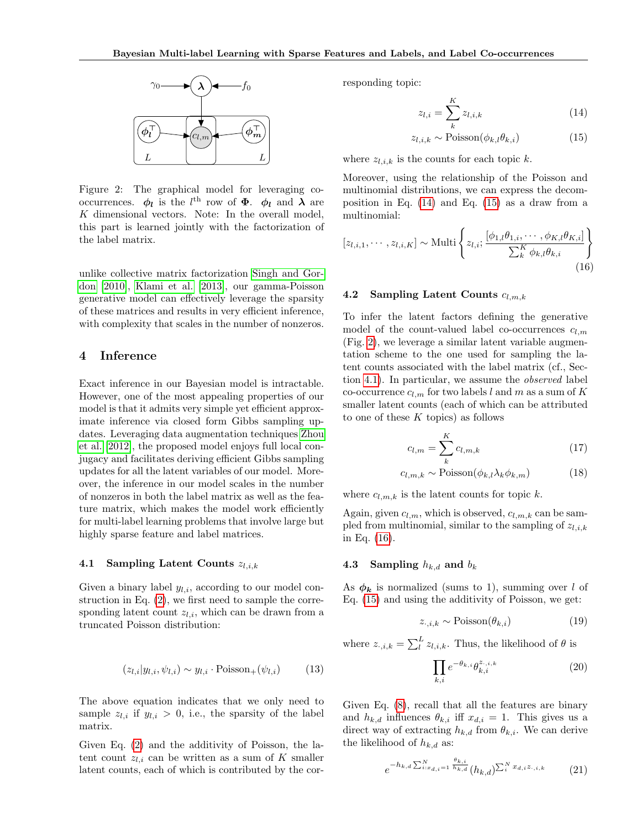

<span id="page-3-1"></span>Figure 2: The graphical model for leveraging cooccurrences.  $\phi_l$  is the l<sup>th</sup> row of  $\Phi$ .  $\phi_l$  and  $\lambda$  are  $K$  dimensional vectors. Note: In the overall model, this part is learned jointly with the factorization of the label matrix.

unlike collective matrix factorization [Singh and Gor](#page-8-12)[don](#page-8-12) [\[2010\]](#page-8-12), [Klami et al.](#page-8-13) [\[2013\]](#page-8-13), our gamma-Poisson generative model can effectively leverage the sparsity of these matrices and results in very efficient inference, with complexity that scales in the number of nonzeros.

# <span id="page-3-0"></span>4 Inference

Exact inference in our Bayesian model is intractable. However, one of the most appealing properties of our model is that it admits very simple yet efficient approximate inference via closed form Gibbs sampling updates. Leveraging data augmentation techniques [Zhou](#page-8-4) [et al.](#page-8-4) [\[2012\]](#page-8-4), the proposed model enjoys full local conjugacy and facilitates deriving efficient Gibbs sampling updates for all the latent variables of our model. Moreover, the inference in our model scales in the number of nonzeros in both the label matrix as well as the feature matrix, which makes the model work efficiently for multi-label learning problems that involve large but highly sparse feature and label matrices.

#### <span id="page-3-4"></span>4.1 Sampling Latent Counts  $z_{l,i,k}$

Given a binary label  $y_{l,i}$ , according to our model construction in Eq. [\(2\)](#page-1-1), we first need to sample the corresponding latent count  $z_{l,i}$ , which can be drawn from a truncated Poisson distribution:

$$
(z_{l,i}|y_{l,i},\psi_{l,i}) \sim y_{l,i} \cdot \text{Poisson}_{+}(\psi_{l,i}) \tag{13}
$$

The above equation indicates that we only need to sample  $z_{l,i}$  if  $y_{l,i} > 0$ , i.e., the sparsity of the label matrix.

Given Eq. [\(2\)](#page-1-1) and the additivity of Poisson, the latent count  $z_{li}$  can be written as a sum of K smaller latent counts, each of which is contributed by the corresponding topic:

<span id="page-3-3"></span><span id="page-3-2"></span>
$$
z_{l,i} = \sum_{k}^{K} z_{l,i,k} \tag{14}
$$

<span id="page-3-5"></span>
$$
z_{l,i,k} \sim \text{Poisson}(\phi_{k,l}\theta_{k,i})\tag{15}
$$

where  $z_{l,i,k}$  is the counts for each topic k.

Moreover, using the relationship of the Poisson and multinomial distributions, we can express the decomposition in Eq. [\(14\)](#page-3-2) and Eq. [\(15\)](#page-3-3) as a draw from a multinomial:

$$
[z_{l,i,1},\cdots,z_{l,i,K}] \sim \text{Multi}\left\{z_{l,i};\frac{[\phi_{1,l}\theta_{1,i},\cdots,\phi_{K,l}\theta_{K,i}]}{\sum_{k}^{K}\phi_{k,l}\theta_{k,i}}\right\}
$$
(16)

#### 4.2 Sampling Latent Counts  $c_{l,m,k}$

To infer the latent factors defining the generative model of the count-valued label co-occurrences  $c_{l,m}$ (Fig. [2\)](#page-3-1), we leverage a similar latent variable augmentation scheme to the one used for sampling the latent counts associated with the label matrix (cf., Section [4.1\)](#page-3-4). In particular, we assume the observed label co-occurrence  $c_{l,m}$  for two labels l and m as a sum of K smaller latent counts (each of which can be attributed to one of these  $K$  topics) as follows

<span id="page-3-6"></span>
$$
c_{l,m} = \sum_{k}^{K} c_{l,m,k} \tag{17}
$$

$$
c_{l,m,k} \sim \text{Poisson}(\phi_{k,l}\lambda_k \phi_{k,m}) \tag{18}
$$

where  $c_{l,m,k}$  is the latent counts for topic k.

Again, given  $c_{l,m}$ , which is observed,  $c_{l,m,k}$  can be sampled from multinomial, similar to the sampling of  $z_{l,i,k}$ in Eq. [\(16\)](#page-3-5).

#### 4.3 Sampling  $h_{k,d}$  and  $b_k$

As  $\phi_k$  is normalized (sums to 1), summing over l of Eq. [\(15\)](#page-3-3) and using the additivity of Poisson, we get:

$$
z_{\cdot,i,k} \sim \text{Poisson}(\theta_{k,i})\tag{19}
$$

where  $z_{\cdot,i,k} = \sum_{l}^{L} z_{l,i,k}$ . Thus, the likelihood of  $\theta$  is

$$
\prod_{k,i} e^{-\theta_{k,i}} \theta_{k,i}^{z_{\cdot,i,k}} \tag{20}
$$

Given Eq. [\(8\)](#page-2-1), recall that all the features are binary and  $h_{k,d}$  influences  $\theta_{k,i}$  iff  $x_{d,i} = 1$ . This gives us a direct way of extracting  $h_{k,d}$  from  $\theta_{k,i}$ . We can derive the likelihood of  $h_{k,d}$  as:

$$
e^{-h_{k,d}\sum_{i:x_{d,i}=1}^{N} \frac{\theta_{k,i}}{h_{k,d}}}(h_{k,d})^{\sum_{i}^{N}x_{d,i}z_{\cdot,i,k}} \qquad (21)
$$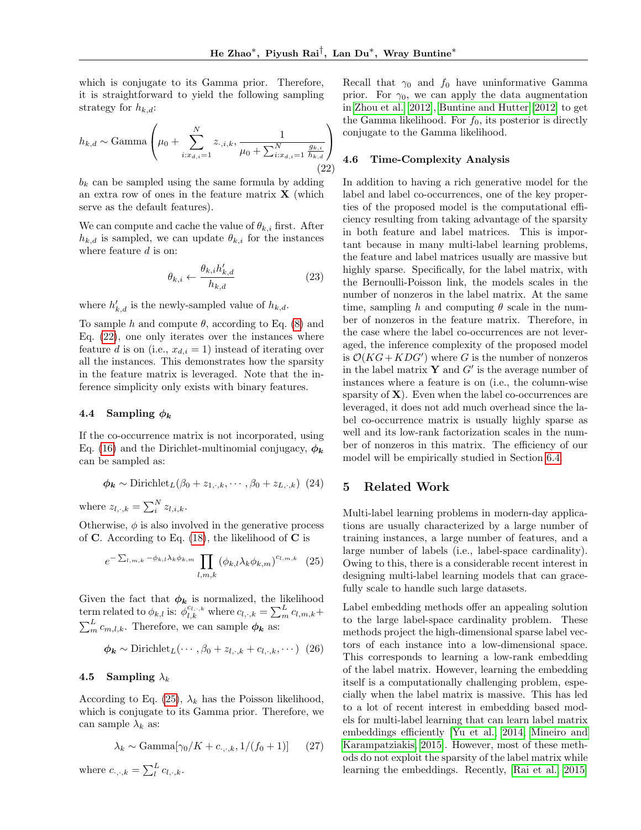which is conjugate to its Gamma prior. Therefore, it is straightforward to yield the following sampling strategy for  $h_{k,d}$ :

$$
h_{k,d} \sim \text{Gamma}\left(\mu_0 + \sum_{i:x_{d,i}=1}^N z_{\cdot,i,k}, \frac{1}{\mu_0 + \sum_{i:x_{d,i}=1}^N \frac{g_{k,i}}{h_{k,d}}}\right)
$$
(22)

 $b_k$  can be sampled using the same formula by adding an extra row of ones in the feature matrix  $X$  (which serve as the default features).

We can compute and cache the value of  $\theta_{k,i}$  first. After  $h_{k,d}$  is sampled, we can update  $\theta_{k,i}$  for the instances where feature  $d$  is on:

$$
\theta_{k,i} \leftarrow \frac{\theta_{k,i} h'_{k,d}}{h_{k,d}} \tag{23}
$$

where  $h'_{k,d}$  is the newly-sampled value of  $h_{k,d}$ .

To sample h and compute  $\theta$ , according to Eq. [\(8\)](#page-2-1) and Eq. [\(22\)](#page-4-0), one only iterates over the instances where feature d is on (i.e.,  $x_{d,i} = 1$ ) instead of iterating over all the instances. This demonstrates how the sparsity in the feature matrix is leveraged. Note that the inference simplicity only exists with binary features.

# 4.4 Sampling  $\phi_k$

If the co-occurrence matrix is not incorporated, using Eq. [\(16\)](#page-3-5) and the Dirichlet-multinomial conjugacy,  $\phi_{\mathbf{k}}$ can be sampled as:

$$
\phi_{\mathbf{k}} \sim \text{Dirichlet}_L(\beta_0 + z_{1,\cdot,k}, \cdots, \beta_0 + z_{L,\cdot,k})
$$
 (24)

where  $z_{l,\cdot,k} = \sum_{i=1}^{N} z_{l,i,k}$ .

Otherwise,  $\phi$  is also involved in the generative process of C. According to Eq.  $(18)$ , the likelihood of C is

$$
e^{-\sum_{l,m,k}-\phi_{k,l}\lambda_k\phi_{k,m}}\prod_{l,m,k}\left(\phi_{k,l}\lambda_k\phi_{k,m}\right)^{c_{l,m,k}}\quad(25)
$$

Given the fact that  $\phi_k$  is normalized, the likelihood term related to  $\phi_{k,l}$  is:  $\phi_{l,k}^{c_{l,\cdot,k}}$  where  $c_{l,\cdot,k} = \sum_{m}^{L} c_{l,m,k} +$  $\sum_{m}^{L} c_{m,l,k}$ . Therefore, we can sample  $\phi_{k}$  as:

$$
\phi_{\mathbf{k}} \sim \text{Dirichlet}_L(\cdots, \beta_0 + z_{l, \cdot, k} + c_{l, \cdot, k}, \cdots) \tag{26}
$$

## 4.5 Sampling  $\lambda_k$

According to Eq. [\(25\)](#page-4-1),  $\lambda_k$  has the Poisson likelihood, which is conjugate to its Gamma prior. Therefore, we can sample  $\lambda_k$  as:

$$
\lambda_k \sim \text{Gamma}[\gamma_0/K + c_{\cdot,\cdot,k}, 1/(f_0+1)] \tag{27}
$$

where  $c_{\cdot,\cdot,k} = \sum_{l}^{L} c_{l,\cdot,k}$ .

Recall that  $\gamma_0$  and  $f_0$  have uninformative Gamma prior. For  $\gamma_0$ , we can apply the data augmentation in [Zhou et al.](#page-8-4) [\[2012\]](#page-8-4), [Buntine and Hutter](#page-8-14) [\[2012\]](#page-8-14) to get the Gamma likelihood. For  $f_0$ , its posterior is directly conjugate to the Gamma likelihood.

#### <span id="page-4-2"></span><span id="page-4-0"></span>4.6 Time-Complexity Analysis

In addition to having a rich generative model for the label and label co-occurrences, one of the key properties of the proposed model is the computational efficiency resulting from taking advantage of the sparsity in both feature and label matrices. This is important because in many multi-label learning problems, the feature and label matrices usually are massive but highly sparse. Specifically, for the label matrix, with the Bernoulli-Poisson link, the models scales in the number of nonzeros in the label matrix. At the same time, sampling h and computing  $\theta$  scale in the number of nonzeros in the feature matrix. Therefore, in the case where the label co-occurrences are not leveraged, the inference complexity of the proposed model is  $\mathcal{O}(KG + KDG')$  where G is the number of nonzeros in the label matrix  $\mathbf{Y}$  and  $G'$  is the average number of instances where a feature is on (i.e., the column-wise sparsity of  $X$ ). Even when the label co-occurrences are leveraged, it does not add much overhead since the label co-occurrence matrix is usually highly sparse as well and its low-rank factorization scales in the number of nonzeros in this matrix. The efficiency of our model will be empirically studied in Section [6.4.](#page-7-0)

## 5 Related Work

<span id="page-4-1"></span>Multi-label learning problems in modern-day applications are usually characterized by a large number of training instances, a large number of features, and a large number of labels (i.e., label-space cardinality). Owing to this, there is a considerable recent interest in designing multi-label learning models that can gracefully scale to handle such large datasets.

Label embedding methods offer an appealing solution to the large label-space cardinality problem. These methods project the high-dimensional sparse label vectors of each instance into a low-dimensional space. This corresponds to learning a low-rank embedding of the label matrix. However, learning the embedding itself is a computationally challenging problem, especially when the label matrix is massive. This has led to a lot of recent interest in embedding based models for multi-label learning that can learn label matrix embeddings efficiently [\[Yu et al., 2014,](#page-8-5) [Mineiro and](#page-8-7) [Karampatziakis, 2015\]](#page-8-7). However, most of these methods do not exploit the sparsity of the label matrix while learning the embeddings. Recently, [\[Rai et al., 2015\]](#page-8-6)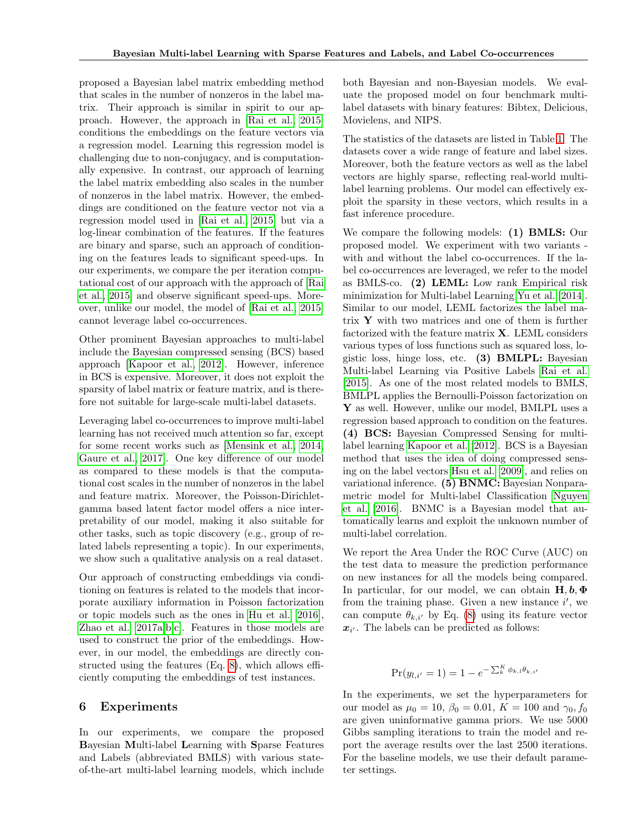proposed a Bayesian label matrix embedding method that scales in the number of nonzeros in the label matrix. Their approach is similar in spirit to our approach. However, the approach in [\[Rai et al., 2015\]](#page-8-6) conditions the embeddings on the feature vectors via a regression model. Learning this regression model is challenging due to non-conjugacy, and is computationally expensive. In contrast, our approach of learning the label matrix embedding also scales in the number of nonzeros in the label matrix. However, the embeddings are conditioned on the feature vector not via a regression model used in [\[Rai et al., 2015\]](#page-8-6) but via a log-linear combination of the features. If the features are binary and sparse, such an approach of conditioning on the features leads to significant speed-ups. In our experiments, we compare the per iteration computational cost of our approach with the approach of [\[Rai](#page-8-6) [et al., 2015\]](#page-8-6) and observe significant speed-ups. Moreover, unlike our model, the model of [\[Rai et al., 2015\]](#page-8-6) cannot leverage label co-occurrences.

Other prominent Bayesian approaches to multi-label include the Bayesian compressed sensing (BCS) based approach [\[Kapoor et al., 2012\]](#page-8-15). However, inference in BCS is expensive. Moreover, it does not exploit the sparsity of label matrix or feature matrix, and is therefore not suitable for large-scale multi-label datasets.

Leveraging label co-occurrences to improve multi-label learning has not received much attention so far, except for some recent works such as [\[Mensink et al., 2014,](#page-8-10) [Gaure et al., 2017\]](#page-8-16). One key difference of our model as compared to these models is that the computational cost scales in the number of nonzeros in the label and feature matrix. Moreover, the Poisson-Dirichletgamma based latent factor model offers a nice interpretability of our model, making it also suitable for other tasks, such as topic discovery (e.g., group of related labels representing a topic). In our experiments, we show such a qualitative analysis on a real dataset.

Our approach of constructing embeddings via conditioning on features is related to the models that incorporate auxiliary information in Poisson factorization or topic models such as the ones in [Hu et al.](#page-8-17) [\[2016\]](#page-8-17), [Zhao et al.](#page-8-18) [\[2017a](#page-8-18)[,b](#page-8-19)[,c\]](#page-8-20). Features in those models are used to construct the prior of the embeddings. However, in our model, the embeddings are directly constructed using the features (Eq. [8\)](#page-2-1), which allows efficiently computing the embeddings of test instances.

## 6 Experiments

In our experiments, we compare the proposed Bayesian Multi-label Learning with Sparse Features and Labels (abbreviated BMLS) with various stateof-the-art multi-label learning models, which include

both Bayesian and non-Bayesian models. We evaluate the proposed model on four benchmark multilabel datasets with binary features: Bibtex, Delicious, Movielens, and NIPS.

The statistics of the datasets are listed in Table [1.](#page-6-0) The datasets cover a wide range of feature and label sizes. Moreover, both the feature vectors as well as the label vectors are highly sparse, reflecting real-world multilabel learning problems. Our model can effectively exploit the sparsity in these vectors, which results in a fast inference procedure.

We compare the following models: (1) BMLS: Our proposed model. We experiment with two variants with and without the label co-occurrences. If the label co-occurrences are leveraged, we refer to the model as BMLS-co. (2) LEML: Low rank Empirical risk minimization for Multi-label Learning [Yu et al.](#page-8-5) [\[2014\]](#page-8-5). Similar to our model, LEML factorizes the label matrix  $\bf{Y}$  with two matrices and one of them is further factorized with the feature matrix  $X$ . LEML considers various types of loss functions such as squared loss, logistic loss, hinge loss, etc. (3) BMLPL: Bayesian Multi-label Learning via Positive Labels [Rai et al.](#page-8-6) [\[2015\]](#page-8-6). As one of the most related models to BMLS, BMLPL applies the Bernoulli-Poisson factorization on Y as well. However, unlike our model, BMLPL uses a regression based approach to condition on the features. (4) BCS: Bayesian Compressed Sensing for multilabel learning [Kapoor et al.](#page-8-15) [\[2012\]](#page-8-15). BCS is a Bayesian method that uses the idea of doing compressed sensing on the label vectors [Hsu et al.](#page-8-21) [\[2009\]](#page-8-21), and relies on variational inference. (5) BNMC: Bayesian Nonparametric model for Multi-label Classification [Nguyen](#page-8-22) [et al.](#page-8-22) [\[2016\]](#page-8-22). BNMC is a Bayesian model that automatically learns and exploit the unknown number of multi-label correlation.

We report the Area Under the ROC Curve (AUC) on the test data to measure the prediction performance on new instances for all the models being compared. In particular, for our model, we can obtain  $H, b, \Phi$ from the training phase. Given a new instance  $i'$ , we can compute  $\theta_{k,i'}$  by Eq. [\(8\)](#page-2-1) using its feature vector  $x_{i'}$ . The labels can be predicted as follows:

$$
\Pr(y_{l,i'} = 1) = 1 - e^{-\sum_{k}^{K} \phi_{k,l} \theta_{k,i'}}
$$

In the experiments, we set the hyperparameters for our model as  $\mu_0 = 10, \beta_0 = 0.01, K = 100$  and  $\gamma_0, f_0$ are given uninformative gamma priors. We use 5000 Gibbs sampling iterations to train the model and report the average results over the last 2500 iterations. For the baseline models, we use their default parameter settings.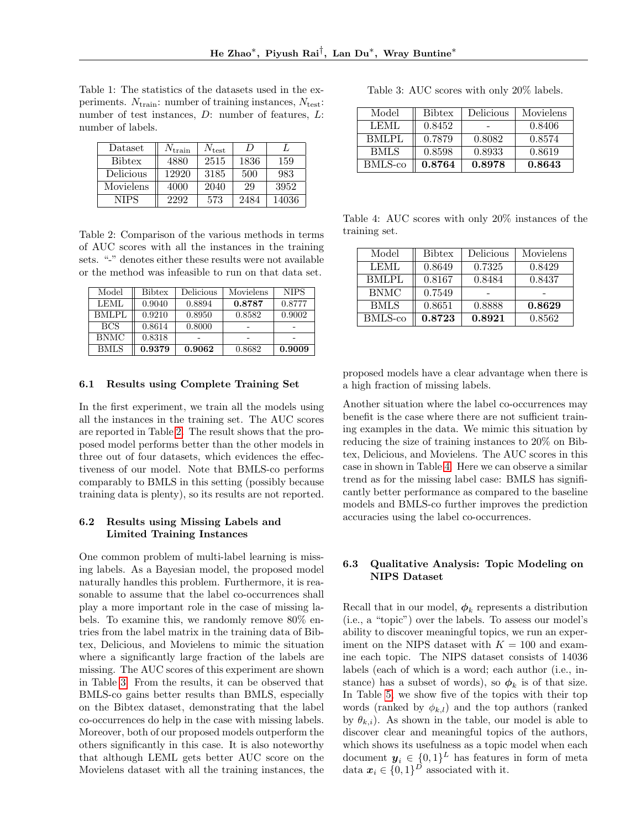<span id="page-6-0"></span>Table 1: The statistics of the datasets used in the experiments.  $N_{\text{train}}$ : number of training instances,  $N_{\text{test}}$ : number of test instances, D: number of features, L: number of labels.

| Dataset       | $N_{\rm train}$ | $N_{\rm test}$ | $\prime$ |       |
|---------------|-----------------|----------------|----------|-------|
| <b>Bibtex</b> | 4880            | 2515           | 1836     | 159   |
| Delicious     | 12920           | 3185           | 500      | 983   |
| Movielens     | 4000            | 2040           | 29       | 3952  |
| NIPS          | 2292            | 573            | 2484     | 14036 |

<span id="page-6-1"></span>Table 2: Comparison of the various methods in terms of AUC scores with all the instances in the training sets. "-" denotes either these results were not available or the method was infeasible to run on that data set.

| Model        | <b>Bibtex</b> | Delicious | Movielens | <b>NIPS</b> |
|--------------|---------------|-----------|-----------|-------------|
| LEML         | 0.9040        | 0.8894    | 0.8787    | 0.8777      |
| <b>BMLPL</b> | 0.9210        | 0.8950    | 0.8582    | 0.9002      |
| <b>BCS</b>   | 0.8614        | 0.8000    |           |             |
| <b>BNMC</b>  | 0.8318        |           |           |             |
| <b>BMLS</b>  | 0.9379        | 0.9062    | 0.8682    | 0.9009      |

#### 6.1 Results using Complete Training Set

In the first experiment, we train all the models using all the instances in the training set. The AUC scores are reported in Table [2.](#page-6-1) The result shows that the proposed model performs better than the other models in three out of four datasets, which evidences the effectiveness of our model. Note that BMLS-co performs comparably to BMLS in this setting (possibly because training data is plenty), so its results are not reported.

## 6.2 Results using Missing Labels and Limited Training Instances

One common problem of multi-label learning is missing labels. As a Bayesian model, the proposed model naturally handles this problem. Furthermore, it is reasonable to assume that the label co-occurrences shall play a more important role in the case of missing labels. To examine this, we randomly remove 80% entries from the label matrix in the training data of Bibtex, Delicious, and Movielens to mimic the situation where a significantly large fraction of the labels are missing. The AUC scores of this experiment are shown in Table [3.](#page-6-2) From the results, it can be observed that BMLS-co gains better results than BMLS, especially on the Bibtex dataset, demonstrating that the label co-occurrences do help in the case with missing labels. Moreover, both of our proposed models outperform the others significantly in this case. It is also noteworthy that although LEML gets better AUC score on the Movielens dataset with all the training instances, the

<span id="page-6-2"></span>Table 3: AUC scores with only 20% labels.

| Model       | <b>Bibtex</b> | Delicious | Movielens |
|-------------|---------------|-----------|-----------|
| LEML        | 0.8452        |           | 0.8406    |
| BMLPL       | 0.7879        | 0.8082    | 0.8574    |
| <b>BMLS</b> | 0.8598        | 0.8933    | 0.8619    |
| BMLS-co     | 0.8764        | 0.8978    | 0.8643    |

<span id="page-6-3"></span>Table 4: AUC scores with only 20% instances of the training set.

| Model        | <b>Bibtex</b> | Delicious | Movielens |
|--------------|---------------|-----------|-----------|
| <b>LEML</b>  | 0.8649        | 0.7325    | 0.8429    |
| <b>BMLPL</b> | 0.8167        | 0.8484    | 0.8437    |
| <b>BNMC</b>  | 0.7549        |           |           |
| <b>BMLS</b>  | 0.8651        | 0.8888    | 0.8629    |
| BMLS-co      | 0.8723        | 0.8921    | 0.8562    |

proposed models have a clear advantage when there is a high fraction of missing labels.

Another situation where the label co-occurrences may benefit is the case where there are not sufficient training examples in the data. We mimic this situation by reducing the size of training instances to 20% on Bibtex, Delicious, and Movielens. The AUC scores in this case in shown in Table [4.](#page-6-3) Here we can observe a similar trend as for the missing label case: BMLS has significantly better performance as compared to the baseline models and BMLS-co further improves the prediction accuracies using the label co-occurrences.

# 6.3 Qualitative Analysis: Topic Modeling on NIPS Dataset

Recall that in our model,  $\phi_k$  represents a distribution (i.e., a "topic") over the labels. To assess our model's ability to discover meaningful topics, we run an experiment on the NIPS dataset with  $K = 100$  and examine each topic. The NIPS dataset consists of 14036 labels (each of which is a word; each author (i.e., instance) has a subset of words), so  $\phi_k$  is of that size. In Table [5,](#page-7-1) we show five of the topics with their top words (ranked by  $\phi_{k,l}$ ) and the top authors (ranked by  $\theta_{k,i}$ ). As shown in the table, our model is able to discover clear and meaningful topics of the authors, which shows its usefulness as a topic model when each document  $y_i \in \{0,1\}^L$  has features in form of meta data  $x_i \in \{0,1\}^D$  associated with it.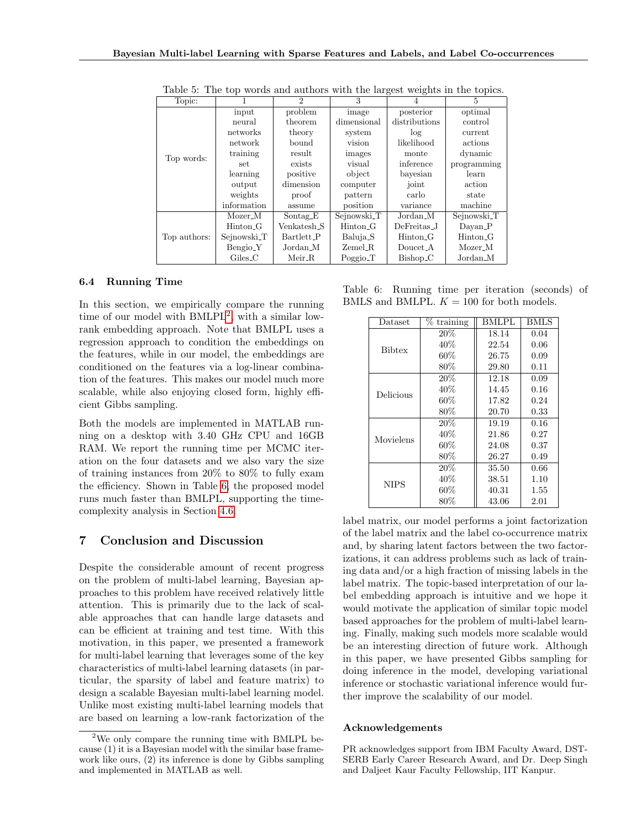| Topic:       |                      | $\mathfrak{D}$          | 3                    |                      | 5                    |
|--------------|----------------------|-------------------------|----------------------|----------------------|----------------------|
|              | input                | problem                 | image                | posterior            | optimal              |
|              | neural               | theorem                 | dimensional          | distributions        | control              |
|              | networks             | theory                  | system               | log                  | current              |
|              | network              | bound                   | vision               | likelihood           | actions              |
|              | training             | result                  | images               | monte                | dynamic              |
| Top words:   | set                  | exists                  | visual               | inference            | programming          |
|              | learning             | positive                | object               | bayesian             | learn                |
|              | output               | dimension               | computer             | joint                | action               |
|              | weights              | proof                   | pattern              | carlo                | state                |
|              | information          | assume                  | position             | variance             | machine              |
| Top authors: | Mozer_M              | Sontag_E                | Sejnowski_T          | Jordan <sub>N</sub>  | Sejnowski_T          |
|              | Hinton G             | Venkatesh <sub>-S</sub> | Hinton <sub>-G</sub> | DeFreitas_J          | Dayan_P              |
|              | Sejnowski_T          | Bartlett_P              | Baluja_S             | Hinton <sub>-G</sub> | Hinton <sub>-G</sub> |
|              | Bengio <sub>-Y</sub> | Jordan <sub>N</sub>     | Zemel <sub>-R</sub>  | Doucet <sub>-A</sub> | Mozer_M              |
|              | $Giles_C$            | $Meir_R$                | Poggio_T             | Bishop <sub>-C</sub> | Jordan <sub>-M</sub> |

<span id="page-7-1"></span>Table 5: The top words and authors with the largest weights in the topics.

#### <span id="page-7-0"></span>6.4 Running Time

In this section, we empirically compare the running time of our model with  $BMLPL^2$  $BMLPL^2$ , with a similar lowrank embedding approach. Note that BMLPL uses a regression approach to condition the embeddings on the features, while in our model, the embeddings are conditioned on the features via a log-linear combination of the features. This makes our model much more scalable, while also enjoying closed form, highly efficient Gibbs sampling.

Both the models are implemented in MATLAB running on a desktop with 3.40 GHz CPU and 16GB RAM. We report the running time per MCMC iteration on the four datasets and we also vary the size of training instances from 20% to 80% to fully exam the efficiency. Shown in Table [6,](#page-7-3) the proposed model runs much faster than BMLPL, supporting the timecomplexity analysis in Section [4.6.](#page-4-2)

# 7 Conclusion and Discussion

Despite the considerable amount of recent progress on the problem of multi-label learning, Bayesian approaches to this problem have received relatively little attention. This is primarily due to the lack of scalable approaches that can handle large datasets and can be efficient at training and test time. With this motivation, in this paper, we presented a framework for multi-label learning that leverages some of the key characteristics of multi-label learning datasets (in particular, the sparsity of label and feature matrix) to design a scalable Bayesian multi-label learning model. Unlike most existing multi-label learning models that are based on learning a low-rank factorization of the

Table 6: Running time per iteration (seconds) of BMLS and BMLPL.  $K = 100$  for both models.

<span id="page-7-3"></span>

| Dataset       | % training | BMLPL | <b>BMLS</b> |
|---------------|------------|-------|-------------|
| <b>Bibtex</b> | 20%        | 18.14 | 0.04        |
|               | 40%        | 22.54 | 0.06        |
|               | 60%        | 26.75 | 0.09        |
|               | $80\%$     | 29.80 | 0.11        |
|               | $20\%$     | 12.18 | 0.09        |
| Delicious     | 40%        | 14.45 | 0.16        |
|               | 60%        | 17.82 | 0.24        |
|               | 80%        | 20.70 | 0.33        |
| Movielens     | $20\%$     | 19.19 | 0.16        |
|               | 40\%       | 21.86 | 0.27        |
|               | 60%        | 24.08 | 0.37        |
|               | 80%        | 26.27 | 0.49        |
| <b>NIPS</b>   | 20%        | 35.50 | 0.66        |
|               | 40%        | 38.51 | 1.10        |
|               | $60\%$     | 40.31 | 1.55        |
|               | $80\%$     | 43.06 | $2.01\,$    |

label matrix, our model performs a joint factorization of the label matrix and the label co-occurrence matrix and, by sharing latent factors between the two factorizations, it can address problems such as lack of training data and/or a high fraction of missing labels in the label matrix. The topic-based interpretation of our label embedding approach is intuitive and we hope it would motivate the application of similar topic model based approaches for the problem of multi-label learning. Finally, making such models more scalable would be an interesting direction of future work. Although in this paper, we have presented Gibbs sampling for doing inference in the model, developing variational inference or stochastic variational inference would further improve the scalability of our model.

#### Acknowledgements

PR acknowledges support from IBM Faculty Award, DST-SERB Early Career Research Award, and Dr. Deep Singh and Daljeet Kaur Faculty Fellowship, IIT Kanpur.

<span id="page-7-2"></span> $2$ We only compare the running time with BMLPL because (1) it is a Bayesian model with the similar base framework like ours, (2) its inference is done by Gibbs sampling and implemented in MATLAB as well.